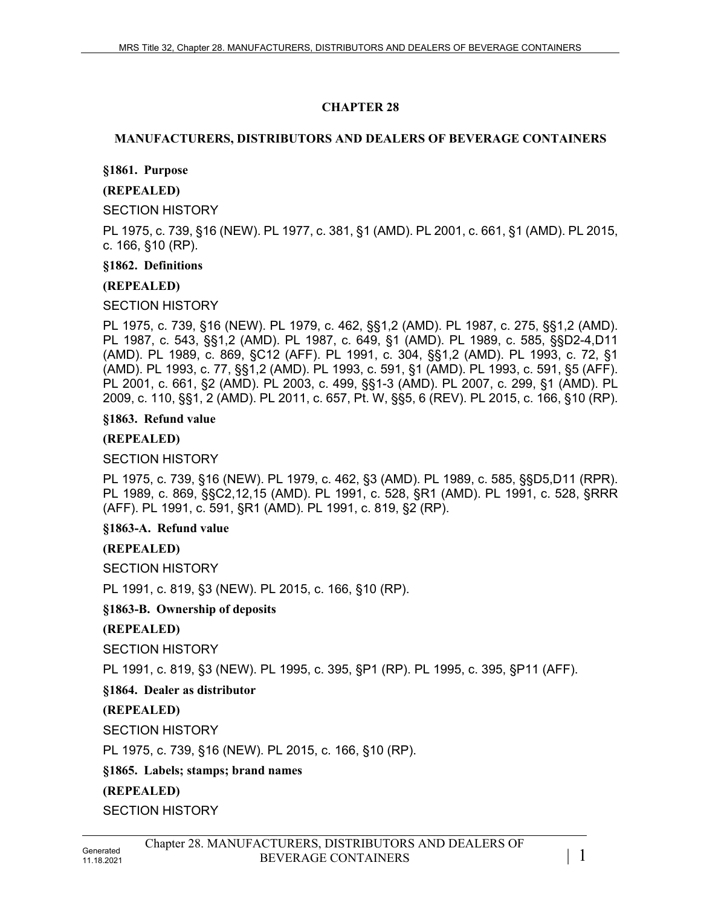# **CHAPTER 28**

## **MANUFACTURERS, DISTRIBUTORS AND DEALERS OF BEVERAGE CONTAINERS**

## **§1861. Purpose**

## **(REPEALED)**

SECTION HISTORY

PL 1975, c. 739, §16 (NEW). PL 1977, c. 381, §1 (AMD). PL 2001, c. 661, §1 (AMD). PL 2015, c. 166, §10 (RP).

#### **§1862. Definitions**

## **(REPEALED)**

SECTION HISTORY

PL 1975, c. 739, §16 (NEW). PL 1979, c. 462, §§1,2 (AMD). PL 1987, c. 275, §§1,2 (AMD). PL 1987, c. 543, §§1,2 (AMD). PL 1987, c. 649, §1 (AMD). PL 1989, c. 585, §§D2-4,D11 (AMD). PL 1989, c. 869, §C12 (AFF). PL 1991, c. 304, §§1,2 (AMD). PL 1993, c. 72, §1 (AMD). PL 1993, c. 77, §§1,2 (AMD). PL 1993, c. 591, §1 (AMD). PL 1993, c. 591, §5 (AFF). PL 2001, c. 661, §2 (AMD). PL 2003, c. 499, §§1-3 (AMD). PL 2007, c. 299, §1 (AMD). PL 2009, c. 110, §§1, 2 (AMD). PL 2011, c. 657, Pt. W, §§5, 6 (REV). PL 2015, c. 166, §10 (RP).

#### **§1863. Refund value**

#### **(REPEALED)**

## SECTION HISTORY

PL 1975, c. 739, §16 (NEW). PL 1979, c. 462, §3 (AMD). PL 1989, c. 585, §§D5,D11 (RPR). PL 1989, c. 869, §§C2,12,15 (AMD). PL 1991, c. 528, §R1 (AMD). PL 1991, c. 528, §RRR (AFF). PL 1991, c. 591, §R1 (AMD). PL 1991, c. 819, §2 (RP).

#### **§1863-A. Refund value**

## **(REPEALED)**

SECTION HISTORY

PL 1991, c. 819, §3 (NEW). PL 2015, c. 166, §10 (RP).

## **§1863-B. Ownership of deposits**

**(REPEALED)**

SECTION HISTORY

PL 1991, c. 819, §3 (NEW). PL 1995, c. 395, §P1 (RP). PL 1995, c. 395, §P11 (AFF).

**§1864. Dealer as distributor**

## **(REPEALED)**

SECTION HISTORY

PL 1975, c. 739, §16 (NEW). PL 2015, c. 166, §10 (RP).

**§1865. Labels; stamps; brand names**

## **(REPEALED)**

SECTION HISTORY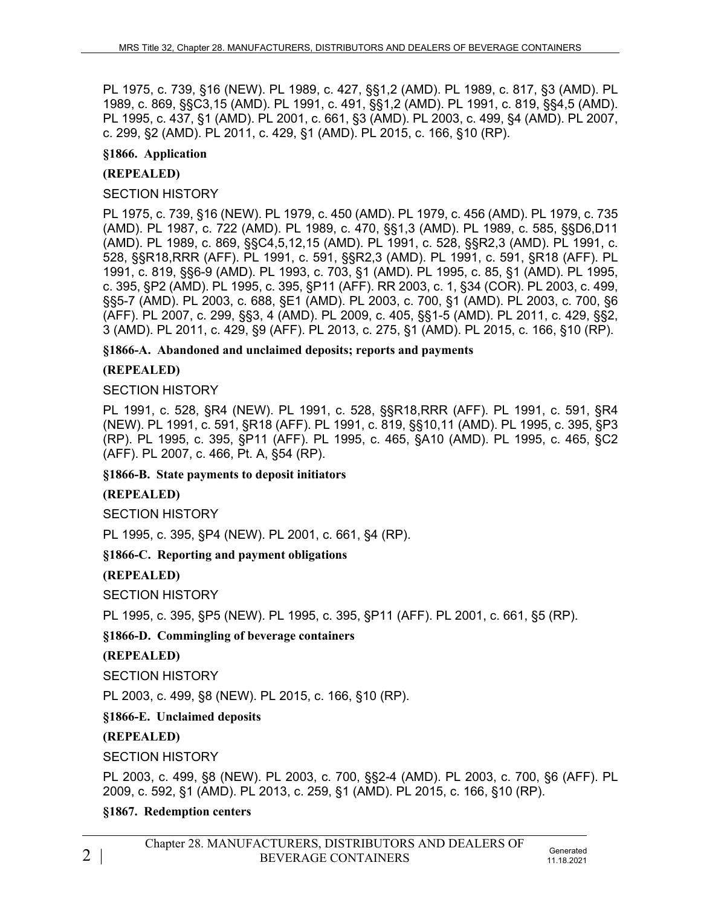PL 1975, c. 739, §16 (NEW). PL 1989, c. 427, §§1,2 (AMD). PL 1989, c. 817, §3 (AMD). PL 1989, c. 869, §§C3,15 (AMD). PL 1991, c. 491, §§1,2 (AMD). PL 1991, c. 819, §§4,5 (AMD). PL 1995, c. 437, §1 (AMD). PL 2001, c. 661, §3 (AMD). PL 2003, c. 499, §4 (AMD). PL 2007, c. 299, §2 (AMD). PL 2011, c. 429, §1 (AMD). PL 2015, c. 166, §10 (RP).

## **§1866. Application**

# **(REPEALED)**

## SECTION HISTORY

PL 1975, c. 739, §16 (NEW). PL 1979, c. 450 (AMD). PL 1979, c. 456 (AMD). PL 1979, c. 735 (AMD). PL 1987, c. 722 (AMD). PL 1989, c. 470, §§1,3 (AMD). PL 1989, c. 585, §§D6,D11 (AMD). PL 1989, c. 869, §§C4,5,12,15 (AMD). PL 1991, c. 528, §§R2,3 (AMD). PL 1991, c. 528, §§R18,RRR (AFF). PL 1991, c. 591, §§R2,3 (AMD). PL 1991, c. 591, §R18 (AFF). PL 1991, c. 819, §§6-9 (AMD). PL 1993, c. 703, §1 (AMD). PL 1995, c. 85, §1 (AMD). PL 1995, c. 395, §P2 (AMD). PL 1995, c. 395, §P11 (AFF). RR 2003, c. 1, §34 (COR). PL 2003, c. 499, §§5-7 (AMD). PL 2003, c. 688, §E1 (AMD). PL 2003, c. 700, §1 (AMD). PL 2003, c. 700, §6 (AFF). PL 2007, c. 299, §§3, 4 (AMD). PL 2009, c. 405, §§1-5 (AMD). PL 2011, c. 429, §§2, 3 (AMD). PL 2011, c. 429, §9 (AFF). PL 2013, c. 275, §1 (AMD). PL 2015, c. 166, §10 (RP).

**§1866-A. Abandoned and unclaimed deposits; reports and payments**

# **(REPEALED)**

## SECTION HISTORY

PL 1991, c. 528, §R4 (NEW). PL 1991, c. 528, §§R18,RRR (AFF). PL 1991, c. 591, §R4 (NEW). PL 1991, c. 591, §R18 (AFF). PL 1991, c. 819, §§10,11 (AMD). PL 1995, c. 395, §P3 (RP). PL 1995, c. 395, §P11 (AFF). PL 1995, c. 465, §A10 (AMD). PL 1995, c. 465, §C2 (AFF). PL 2007, c. 466, Pt. A, §54 (RP).

**§1866-B. State payments to deposit initiators**

## **(REPEALED)**

SECTION HISTORY

PL 1995, c. 395, §P4 (NEW). PL 2001, c. 661, §4 (RP).

**§1866-C. Reporting and payment obligations**

# **(REPEALED)**

SECTION HISTORY

PL 1995, c. 395, §P5 (NEW). PL 1995, c. 395, §P11 (AFF). PL 2001, c. 661, §5 (RP).

# **§1866-D. Commingling of beverage containers**

## **(REPEALED)**

SECTION HISTORY

PL 2003, c. 499, §8 (NEW). PL 2015, c. 166, §10 (RP).

## **§1866-E. Unclaimed deposits**

# **(REPEALED)**

SECTION HISTORY

PL 2003, c. 499, §8 (NEW). PL 2003, c. 700, §§2-4 (AMD). PL 2003, c. 700, §6 (AFF). PL 2009, c. 592, §1 (AMD). PL 2013, c. 259, §1 (AMD). PL 2015, c. 166, §10 (RP).

**§1867. Redemption centers**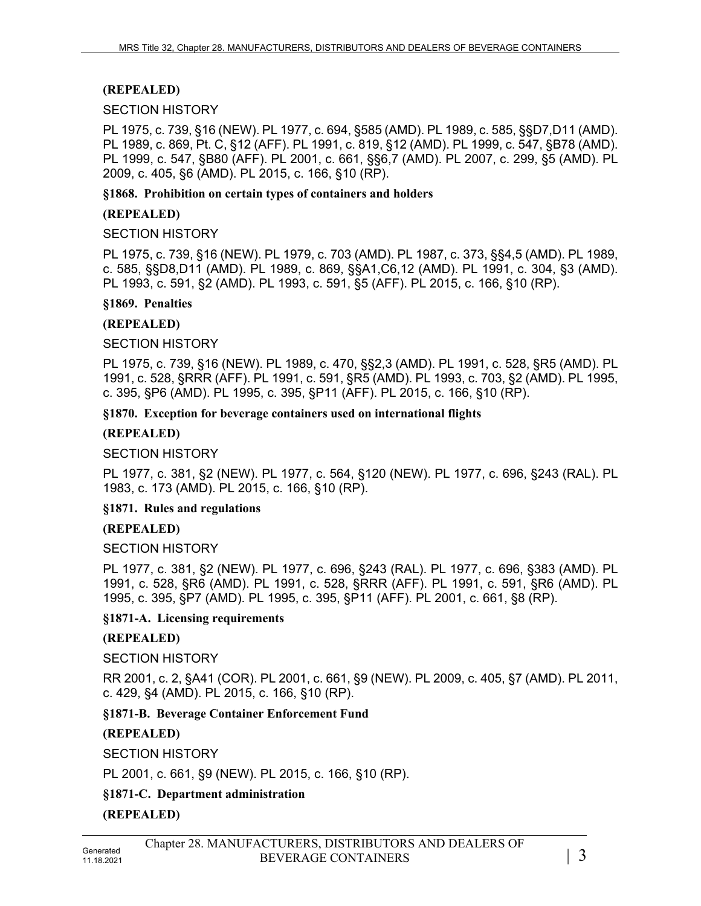# **(REPEALED)**

#### SECTION HISTORY

PL 1975, c. 739, §16 (NEW). PL 1977, c. 694, §585 (AMD). PL 1989, c. 585, §§D7,D11 (AMD). PL 1989, c. 869, Pt. C, §12 (AFF). PL 1991, c. 819, §12 (AMD). PL 1999, c. 547, §B78 (AMD). PL 1999, c. 547, §B80 (AFF). PL 2001, c. 661, §§6,7 (AMD). PL 2007, c. 299, §5 (AMD). PL 2009, c. 405, §6 (AMD). PL 2015, c. 166, §10 (RP).

#### **§1868. Prohibition on certain types of containers and holders**

## **(REPEALED)**

#### SECTION HISTORY

PL 1975, c. 739, §16 (NEW). PL 1979, c. 703 (AMD). PL 1987, c. 373, §§4,5 (AMD). PL 1989, c. 585, §§D8,D11 (AMD). PL 1989, c. 869, §§A1,C6,12 (AMD). PL 1991, c. 304, §3 (AMD). PL 1993, c. 591, §2 (AMD). PL 1993, c. 591, §5 (AFF). PL 2015, c. 166, §10 (RP).

#### **§1869. Penalties**

#### **(REPEALED)**

#### SECTION HISTORY

PL 1975, c. 739, §16 (NEW). PL 1989, c. 470, §§2,3 (AMD). PL 1991, c. 528, §R5 (AMD). PL 1991, c. 528, §RRR (AFF). PL 1991, c. 591, §R5 (AMD). PL 1993, c. 703, §2 (AMD). PL 1995, c. 395, §P6 (AMD). PL 1995, c. 395, §P11 (AFF). PL 2015, c. 166, §10 (RP).

#### **§1870. Exception for beverage containers used on international flights**

## **(REPEALED)**

#### SECTION HISTORY

PL 1977, c. 381, §2 (NEW). PL 1977, c. 564, §120 (NEW). PL 1977, c. 696, §243 (RAL). PL 1983, c. 173 (AMD). PL 2015, c. 166, §10 (RP).

#### **§1871. Rules and regulations**

## **(REPEALED)**

#### SECTION HISTORY

PL 1977, c. 381, §2 (NEW). PL 1977, c. 696, §243 (RAL). PL 1977, c. 696, §383 (AMD). PL 1991, c. 528, §R6 (AMD). PL 1991, c. 528, §RRR (AFF). PL 1991, c. 591, §R6 (AMD). PL 1995, c. 395, §P7 (AMD). PL 1995, c. 395, §P11 (AFF). PL 2001, c. 661, §8 (RP).

#### **§1871-A. Licensing requirements**

## **(REPEALED)**

#### SECTION HISTORY

RR 2001, c. 2, §A41 (COR). PL 2001, c. 661, §9 (NEW). PL 2009, c. 405, §7 (AMD). PL 2011, c. 429, §4 (AMD). PL 2015, c. 166, §10 (RP).

## **§1871-B. Beverage Container Enforcement Fund**

## **(REPEALED)**

SECTION HISTORY

PL 2001, c. 661, §9 (NEW). PL 2015, c. 166, §10 (RP).

# **§1871-C. Department administration**

## **(REPEALED)**